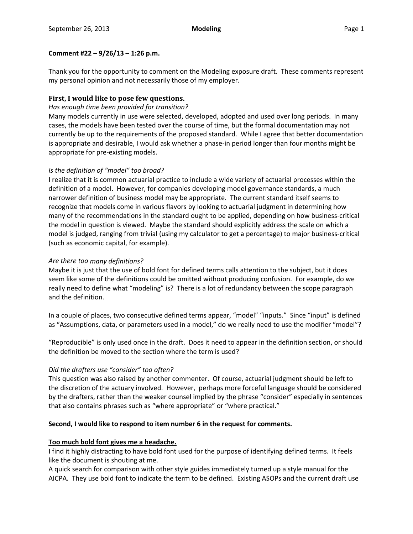## **Comment #22 – 9/26/13 – 1:26 p.m.**

Thank you for the opportunity to comment on the Modeling exposure draft. These comments represent my personal opinion and not necessarily those of my employer.

# **First, I would like to pose few questions.**

## *Has enough time been provided for transition?*

Many models currently in use were selected, developed, adopted and used over long periods. In many cases, the models have been tested over the course of time, but the formal documentation may not currently be up to the requirements of the proposed standard. While I agree that better documentation is appropriate and desirable, I would ask whether a phase‐in period longer than four months might be appropriate for pre‐existing models.

# *Is the definition of "model" too broad?*

I realize that it is common actuarial practice to include a wide variety of actuarial processes within the definition of a model. However, for companies developing model governance standards, a much narrower definition of business model may be appropriate. The current standard itself seems to recognize that models come in various flavors by looking to actuarial judgment in determining how many of the recommendations in the standard ought to be applied, depending on how business‐critical the model in question is viewed. Maybe the standard should explicitly address the scale on which a model is judged, ranging from trivial (using my calculator to get a percentage) to major business‐critical (such as economic capital, for example).

## *Are there too many definitions?*

Maybe it is just that the use of bold font for defined terms calls attention to the subject, but it does seem like some of the definitions could be omitted without producing confusion. For example, do we really need to define what "modeling" is? There is a lot of redundancy between the scope paragraph and the definition.

In a couple of places, two consecutive defined terms appear, "model" "inputs." Since "input" is defined as "Assumptions, data, or parameters used in a model," do we really need to use the modifier "model"?

"Reproducible" is only used once in the draft. Does it need to appear in the definition section, or should the definition be moved to the section where the term is used?

# *Did the drafters use "consider" too often?*

This question was also raised by another commenter. Of course, actuarial judgment should be left to the discretion of the actuary involved. However, perhaps more forceful language should be considered by the drafters, rather than the weaker counsel implied by the phrase "consider" especially in sentences that also contains phrases such as "where appropriate" or "where practical."

## **Second, I would like to respond to item number 6 in the request for comments.**

## **Too much bold font gives me a headache.**

I find it highly distracting to have bold font used for the purpose of identifying defined terms. It feels like the document is shouting at me.

A quick search for comparison with other style guides immediately turned up a style manual for the AICPA. They use bold font to indicate the term to be defined. Existing ASOPs and the current draft use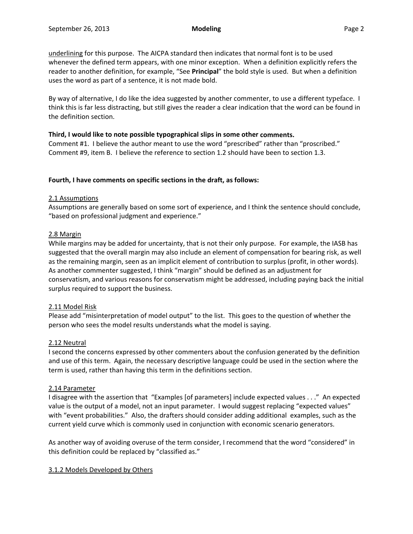underlining for this purpose. The AICPA standard then indicates that normal font is to be used whenever the defined term appears, with one minor exception. When a definition explicitly refers the reader to another definition, for example, "See **Principal**" the bold style is used. But when a definition uses the word as part of a sentence, it is not made bold.

By way of alternative, I do like the idea suggested by another commenter, to use a different typeface. I think this is far less distracting, but still gives the reader a clear indication that the word can be found in the definition section.

## **Third, I would like to note possible typographical slips in some other comments.**

Comment #1. I believe the author meant to use the word "prescribed" rather than "proscribed." Comment #9, item B. I believe the reference to section 1.2 should have been to section 1.3.

## **Fourth, I have comments on specific sections in the draft, as follows:**

## 2.1 Assumptions

Assumptions are generally based on some sort of experience, and I think the sentence should conclude, "based on professional judgment and experience."

## 2.8 Margin

While margins may be added for uncertainty, that is not their only purpose. For example, the IASB has suggested that the overall margin may also include an element of compensation for bearing risk, as well as the remaining margin, seen as an implicit element of contribution to surplus (profit, in other words). As another commenter suggested, I think "margin" should be defined as an adjustment for conservatism, and various reasons for conservatism might be addressed, including paying back the initial surplus required to support the business.

## 2.11 Model Risk

Please add "misinterpretation of model output" to the list. This goes to the question of whether the person who sees the model results understands what the model is saying.

## 2.12 Neutral

I second the concerns expressed by other commenters about the confusion generated by the definition and use of this term. Again, the necessary descriptive language could be used in the section where the term is used, rather than having this term in the definitions section.

## 2.14 Parameter

I disagree with the assertion that "Examples [of parameters] include expected values . . ." An expected value is the output of a model, not an input parameter. I would suggest replacing "expected values" with "event probabilities." Also, the drafters should consider adding additional examples, such as the current yield curve which is commonly used in conjunction with economic scenario generators.

As another way of avoiding overuse of the term consider, I recommend that the word "considered" in this definition could be replaced by "classified as."

## 3.1.2 Models Developed by Others